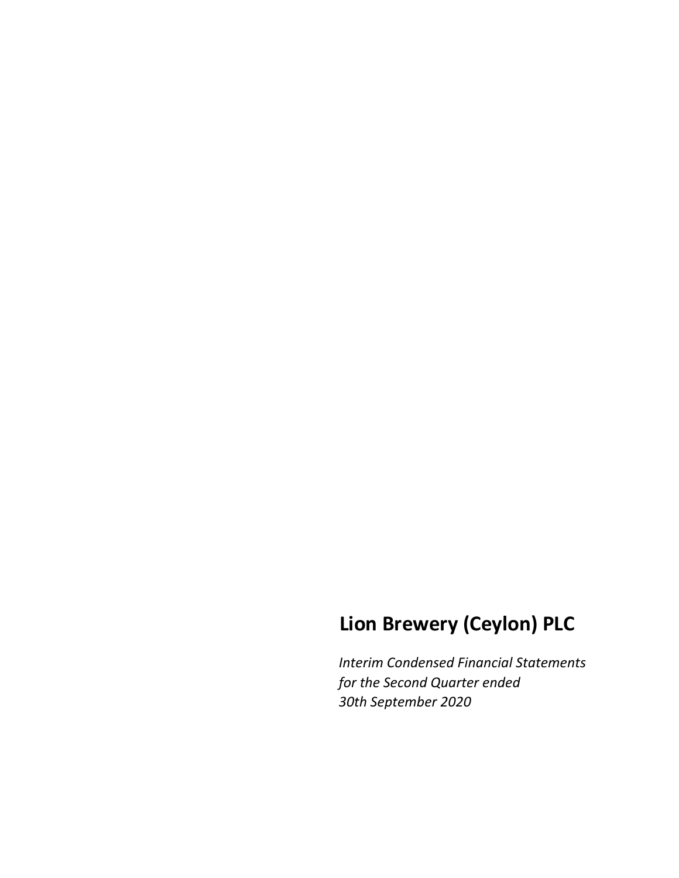# **Lion Brewery (Ceylon) PLC**

*Interim Condensed Financial Statements for the Second Quarter ended 30th September 2020*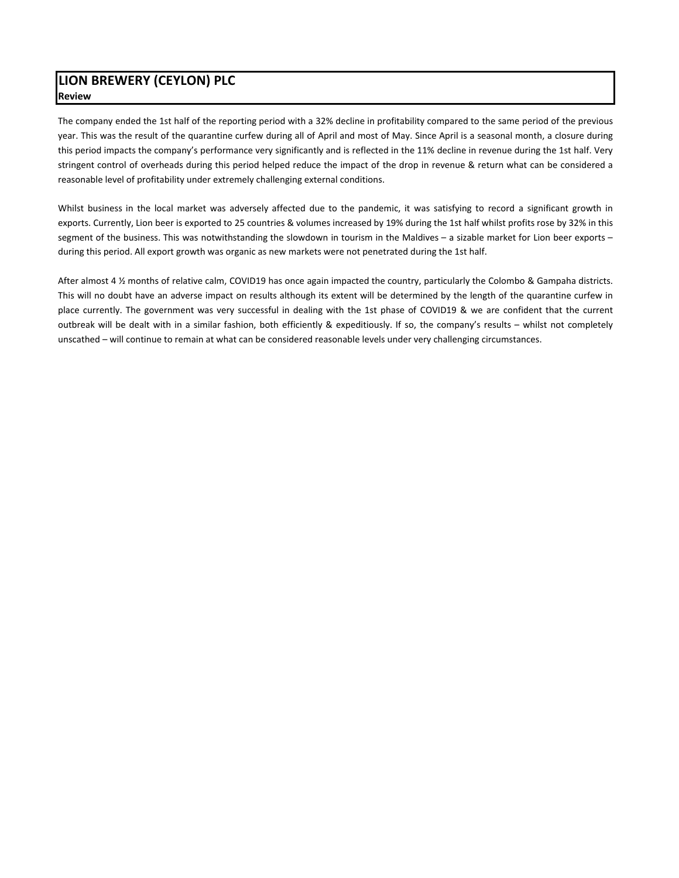# **LION BREWERY (CEYLON) PLC Review**

The company ended the 1st half of the reporting period with a 32% decline in profitability compared to the same period of the previous year. This was the result of the quarantine curfew during all of April and most of May. Since April is a seasonal month, a closure during this period impacts the company's performance very significantly and is reflected in the 11% decline in revenue during the 1st half. Very stringent control of overheads during this period helped reduce the impact of the drop in revenue & return what can be considered a reasonable level of profitability under extremely challenging external conditions.

Whilst business in the local market was adversely affected due to the pandemic, it was satisfying to record a significant growth in exports. Currently, Lion beer is exported to 25 countries & volumes increased by 19% during the 1st half whilst profits rose by 32% in this segment of the business. This was notwithstanding the slowdown in tourism in the Maldives – a sizable market for Lion beer exports – during this period. All export growth was organic as new markets were not penetrated during the 1st half.

After almost 4 ½ months of relative calm, COVID19 has once again impacted the country, particularly the Colombo & Gampaha districts. This will no doubt have an adverse impact on results although its extent will be determined by the length of the quarantine curfew in place currently. The government was very successful in dealing with the 1st phase of COVID19 & we are confident that the current outbreak will be dealt with in a similar fashion, both efficiently & expeditiously. If so, the company's results – whilst not completely unscathed – will continue to remain at what can be considered reasonable levels under very challenging circumstances.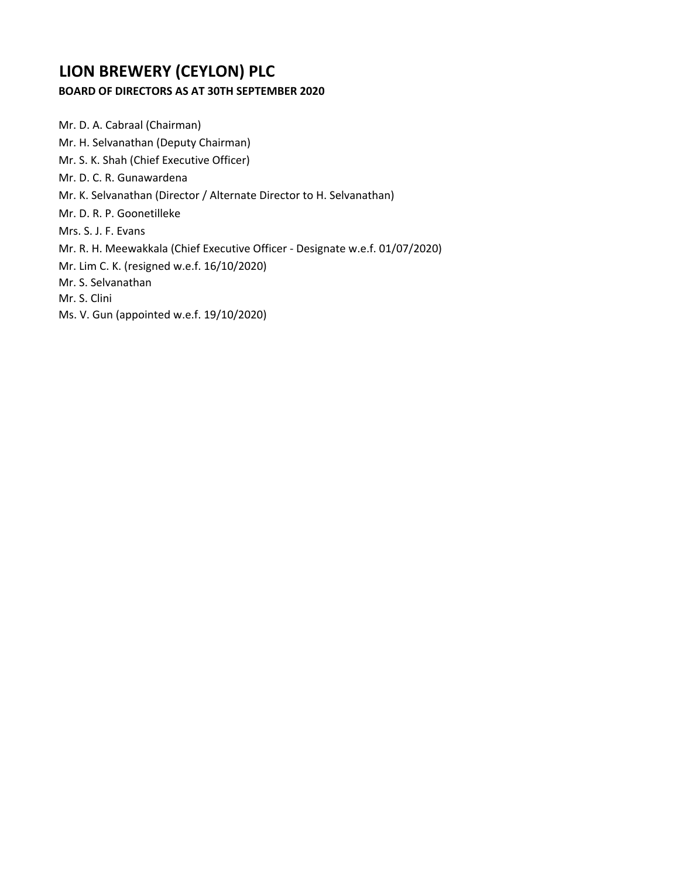# **LION BREWERY (CEYLON) PLC**

# **BOARD OF DIRECTORS AS AT 30TH SEPTEMBER 2020**

Mr. D. A. Cabraal (Chairman) Mr. H. Selvanathan (Deputy Chairman) Mr. S. K. Shah (Chief Executive Officer) Mr. D. C. R. Gunawardena Mr. K. Selvanathan (Director / Alternate Director to H. Selvanathan) Mr. D. R. P. Goonetilleke Mrs. S. J. F. Evans Mr. R. H. Meewakkala (Chief Executive Officer ‐ Designate w.e.f. 01/07/2020) Mr. Lim C. K. (resigned w.e.f. 16/10/2020) Mr. S. Selvanathan Mr. S. Clini Ms. V. Gun (appointed w.e.f. 19/10/2020)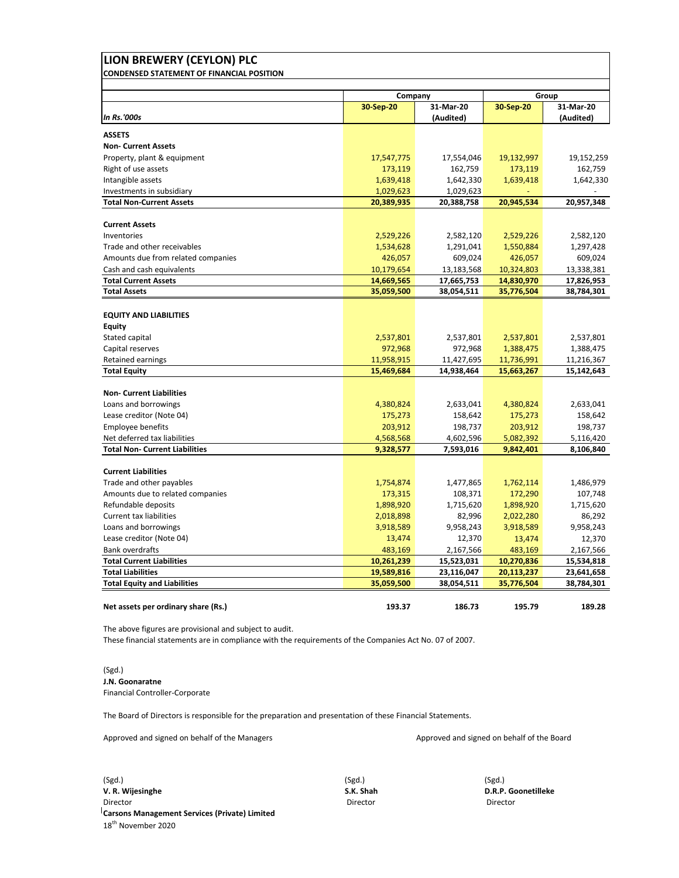| LION BREWERY (CEYLON) PLC                                             |            |                        |            |                        |
|-----------------------------------------------------------------------|------------|------------------------|------------|------------------------|
| <b>CONDENSED STATEMENT OF FINANCIAL POSITION</b>                      |            |                        |            |                        |
|                                                                       | Company    |                        |            | Group                  |
| <b>In Rs.'000s</b>                                                    | 30-Sep-20  | 31-Mar-20<br>(Audited) | 30-Sep-20  | 31-Mar-20<br>(Audited) |
| <b>ASSETS</b>                                                         |            |                        |            |                        |
| <b>Non- Current Assets</b>                                            |            |                        |            |                        |
| Property, plant & equipment                                           | 17,547,775 | 17,554,046             | 19,132,997 | 19,152,259             |
| Right of use assets                                                   | 173,119    | 162,759                | 173,119    | 162,759                |
| Intangible assets                                                     | 1,639,418  | 1,642,330              | 1,639,418  | 1,642,330              |
| Investments in subsidiary                                             | 1,029,623  | 1,029,623              |            |                        |
| <b>Total Non-Current Assets</b>                                       | 20,389,935 | 20,388,758             | 20,945,534 | 20,957,348             |
|                                                                       |            |                        |            |                        |
| <b>Current Assets</b>                                                 |            |                        |            |                        |
| Inventories                                                           | 2,529,226  | 2,582,120              | 2,529,226  | 2,582,120              |
| Trade and other receivables                                           | 1,534,628  | 1,291,041              | 1,550,884  | 1,297,428              |
| Amounts due from related companies                                    | 426,057    | 609,024                | 426,057    | 609,024                |
| Cash and cash equivalents                                             | 10,179,654 | 13,183,568             | 10,324,803 | 13,338,381             |
| <b>Total Current Assets</b>                                           | 14,669,565 | 17,665,753             | 14,830,970 | 17,826,953             |
| <b>Total Assets</b>                                                   | 35,059,500 | 38,054,511             | 35,776,504 | 38,784,301             |
| <b>EQUITY AND LIABILITIES</b>                                         |            |                        |            |                        |
| <b>Equity</b>                                                         |            |                        |            |                        |
| Stated capital                                                        | 2,537,801  | 2,537,801              | 2,537,801  | 2,537,801              |
| Capital reserves                                                      | 972,968    | 972,968                | 1,388,475  | 1,388,475              |
| <b>Retained earnings</b>                                              | 11,958,915 | 11,427,695             | 11,736,991 | 11,216,367             |
| <b>Total Equity</b>                                                   | 15,469,684 | 14,938,464             | 15,663,267 | 15,142,643             |
|                                                                       |            |                        |            |                        |
| <b>Non- Current Liabilities</b>                                       |            |                        |            |                        |
| Loans and borrowings                                                  | 4,380,824  | 2,633,041              | 4,380,824  | 2,633,041              |
| Lease creditor (Note 04)                                              | 175,273    | 158,642                | 175,273    | 158,642                |
| <b>Employee benefits</b>                                              | 203,912    | 198,737                | 203,912    | 198,737                |
| Net deferred tax liabilities<br><b>Total Non- Current Liabilities</b> | 4,568,568  | 4,602,596              | 5,082,392  | 5,116,420              |
|                                                                       | 9,328,577  | 7,593,016              | 9,842,401  | 8,106,840              |
| <b>Current Liabilities</b>                                            |            |                        |            |                        |
| Trade and other payables                                              | 1,754,874  | 1,477,865              | 1,762,114  | 1,486,979              |
| Amounts due to related companies                                      | 173,315    | 108,371                | 172,290    | 107,748                |
| Refundable deposits                                                   | 1,898,920  | 1,715,620              | 1,898,920  | 1,715,620              |
| <b>Current tax liabilities</b>                                        | 2,018,898  | 82,996                 | 2,022,280  | 86,292                 |
| Loans and borrowings                                                  | 3,918,589  | 9,958,243              | 3,918,589  | 9,958,243              |
| Lease creditor (Note 04)                                              | 13,474     | 12,370                 | 13,474     | 12,370                 |
| <b>Bank overdrafts</b>                                                | 483,169    | 2,167,566              | 483,169    | 2,167,566              |
| <b>Total Current Liabilities</b>                                      | 10,261,239 | 15,523,031             | 10,270,836 | 15,534,818             |
| <b>Total Liabilities</b>                                              | 19,589,816 | 23,116,047             | 20,113,237 | 23,641,658             |
| <b>Total Equity and Liabilities</b>                                   | 35,059,500 | 38,054,511             | 35,776,504 | 38,784,301             |
| Net assets per ordinary share (Rs.)                                   | 193.37     | 186.73                 | 195.79     | 189.28                 |

The above figures are provisional and subject to audit.

These financial statements are in compliance with the requirements of the Companies Act No. 07 of 2007.

(Sgd.) **J.N. Goonaratne** Financial Controller‐Corporate

The Board of Directors is responsible for the preparation and presentation of these Financial Statements.

Approved and signed on behalf of the Managers Approved and signed on behalf of the Board

(Sgd.) (Sgd.) (Sgd.) **V. R. Wijesinghe S.K. Shah D.R.P. Goonetilleke** Director Director Director **Carsons Management Services (Private) Limited** 18<sup>th</sup> November 2020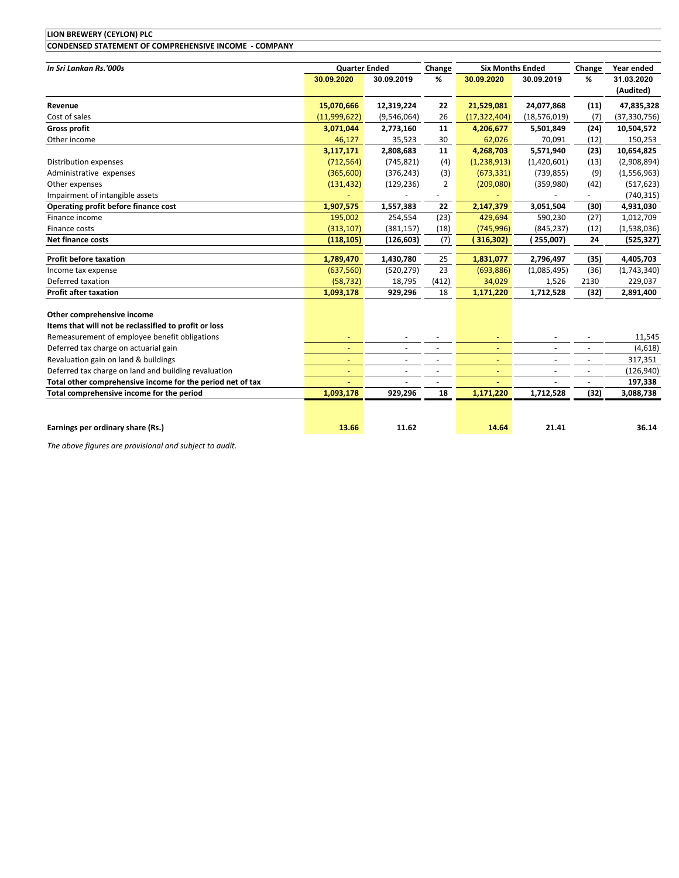| <b>LION BREWERY (CEYLON) PLC</b>                           |                          |                          |             |                         |                          |                          |                |
|------------------------------------------------------------|--------------------------|--------------------------|-------------|-------------------------|--------------------------|--------------------------|----------------|
| CONDENSED STATEMENT OF COMPREHENSIVE INCOME - COMPANY      |                          |                          |             |                         |                          |                          |                |
| In Sri Lankan Rs.'000s                                     | <b>Quarter Ended</b>     |                          |             | <b>Six Months Ended</b> |                          |                          | Year ended     |
|                                                            | 30.09.2020               | 30.09.2019               | Change<br>% | 30.09.2020              | 30.09.2019               | Change<br>%              | 31.03.2020     |
|                                                            |                          |                          |             |                         |                          |                          | (Audited)      |
| Revenue                                                    | 15,070,666               | 12,319,224               | 22          | 21,529,081              | 24,077,868               | (11)                     | 47,835,328     |
| Cost of sales                                              | (11,999,622)             | (9,546,064)              | 26          | (17, 322, 404)          | (18, 576, 019)           | (7)                      | (37, 330, 756) |
| <b>Gross profit</b>                                        | 3,071,044                | 2,773,160                | 11          | 4,206,677               | 5,501,849                | (24)                     | 10,504,572     |
| Other income                                               | 46,127                   | 35,523                   | 30          | 62,026                  | 70,091                   | (12)                     | 150,253        |
|                                                            | 3,117,171                | 2,808,683                | 11          | 4,268,703               | 5,571,940                | (23)                     | 10,654,825     |
| Distribution expenses                                      | (712, 564)               | (745, 821)               | (4)         | (1,238,913)             | (1,420,601)              | (13)                     | (2,908,894)    |
| Administrative expenses                                    | (365,600)                | (376, 243)               | (3)         | (673, 331)              | (739, 855)               | (9)                      | (1,556,963)    |
| Other expenses                                             | (131, 432)               | (129, 236)               | 2           | (209,080)               | (359,980)                | (42)                     | (517, 623)     |
| Impairment of intangible assets                            |                          |                          | -           |                         |                          | ۰                        | (740, 315)     |
| Operating profit before finance cost                       | 1,907,575                | 1,557,383                | 22          | 2,147,379               | 3,051,504                | (30)                     | 4,931,030      |
| Finance income                                             | 195,002                  | 254,554                  | (23)        | 429,694                 | 590,230                  | (27)                     | 1,012,709      |
| Finance costs                                              | (313, 107)               | (381, 157)               | (18)        | (745, 996)              | (845, 237)               | (12)                     | (1,538,036)    |
| <b>Net finance costs</b>                                   | (118, 105)               | (126, 603)               | (7)         | (316,302)               | (255,007)                | 24                       | (525, 327)     |
| <b>Profit before taxation</b>                              | 1,789,470                | 1,430,780                | 25          | 1,831,077               | 2,796,497                | (35)                     | 4,405,703      |
| Income tax expense                                         | (637, 560)               | (520, 279)               | 23          | (693,886)               | (1,085,495)              | (36)                     | (1,743,340)    |
| Deferred taxation                                          | (58, 732)                | 18,795                   | (412)       | 34,029                  | 1,526                    | 2130                     | 229,037        |
| <b>Profit after taxation</b>                               | 1,093,178                | 929,296                  | 18          | 1,171,220               | 1,712,528                | (32)                     | 2,891,400      |
| Other comprehensive income                                 |                          |                          |             |                         |                          |                          |                |
| Items that will not be reclassified to profit or loss      |                          |                          |             |                         |                          |                          |                |
| Remeasurement of employee benefit obligations              | $\overline{\phantom{a}}$ |                          | $\sim$      |                         | $\overline{\phantom{a}}$ | $\overline{\phantom{a}}$ | 11,545         |
| Deferred tax charge on actuarial gain                      | $\overline{\phantom{a}}$ | $\overline{\phantom{a}}$ | $\sim$      | $\equiv$                | $\overline{\phantom{a}}$ | $\overline{\phantom{a}}$ | (4,618)        |
| Revaluation gain on land & buildings                       |                          |                          |             |                         | $\sim$                   | $\overline{\phantom{a}}$ | 317,351        |
| Deferred tax charge on land and building revaluation       |                          |                          |             |                         |                          | ÷.                       | (126, 940)     |
| Total other comprehensive income for the period net of tax |                          |                          |             |                         |                          | $\overline{a}$           | 197,338        |
| Total comprehensive income for the period                  | 1,093,178                | 929,296                  | 18          | 1,171,220               | 1,712,528                | (32)                     | 3,088,738      |
|                                                            |                          |                          |             |                         |                          |                          |                |
| Earnings per ordinary share (Rs.)                          | 13.66                    | 11.62                    |             | 14.64                   | 21.41                    |                          | 36.14          |

*The above figures are provisional and subject to audit.*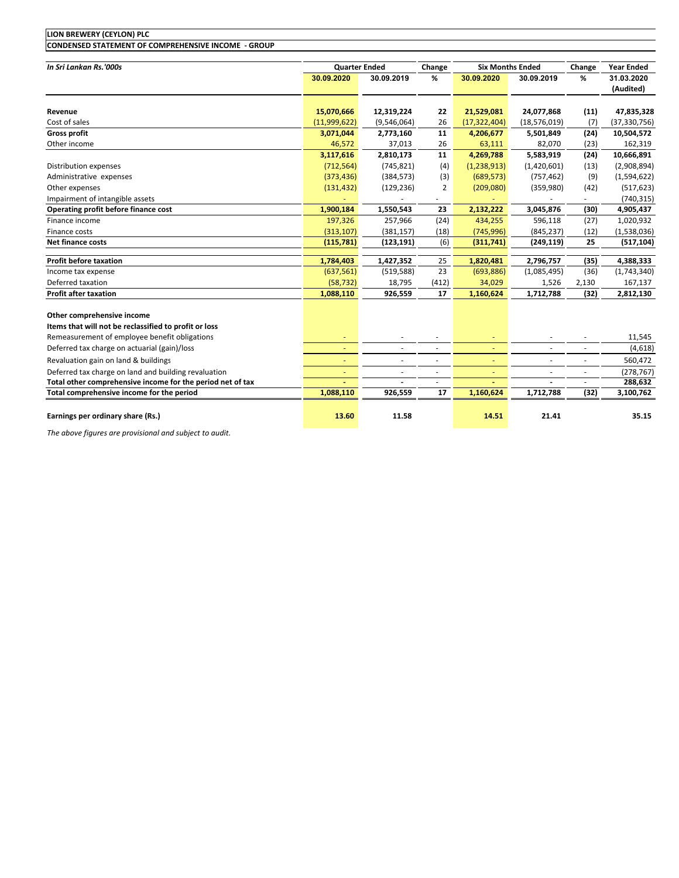| LION BREWERY (CEYLON) PLC                                  |                                    |                          |                          |                          |                                       |                          |                                              |
|------------------------------------------------------------|------------------------------------|--------------------------|--------------------------|--------------------------|---------------------------------------|--------------------------|----------------------------------------------|
| CONDENSED STATEMENT OF COMPREHENSIVE INCOME - GROUP        |                                    |                          |                          |                          |                                       |                          |                                              |
|                                                            |                                    |                          |                          |                          |                                       |                          |                                              |
| In Sri Lankan Rs.'000s                                     | <b>Quarter Ended</b><br>30.09.2020 | 30.09.2019               | Change<br>%              | 30.09.2020               | <b>Six Months Ended</b><br>30.09.2019 | Change<br>%              | <b>Year Ended</b><br>31.03.2020<br>(Audited) |
|                                                            |                                    |                          |                          |                          |                                       |                          |                                              |
| Revenue                                                    | 15,070,666                         | 12,319,224               | 22                       | 21,529,081               | 24,077,868                            | (11)                     | 47,835,328                                   |
| Cost of sales                                              | (11,999,622)                       | (9,546,064)              | 26                       | (17, 322, 404)           | (18, 576, 019)                        | (7)                      | (37, 330, 756)                               |
| <b>Gross profit</b>                                        | 3,071,044                          | 2,773,160                | 11                       | 4,206,677                | 5,501,849                             | (24)                     | 10,504,572                                   |
| Other income                                               | 46,572                             | 37,013                   | 26                       | 63,111                   | 82,070                                | (23)                     | 162,319                                      |
|                                                            | 3,117,616                          | 2,810,173                | 11                       | 4,269,788                | 5,583,919                             | (24)                     | 10,666,891                                   |
| Distribution expenses                                      | (712, 564)                         | (745, 821)               | (4)                      | (1,238,913)              | (1,420,601)                           | (13)                     | (2,908,894)                                  |
| Administrative expenses                                    | (373, 436)                         | (384, 573)               | (3)                      | (689, 573)               | (757, 462)                            | (9)                      | (1,594,622)                                  |
| Other expenses                                             | (131, 432)                         | (129, 236)               | 2                        | (209,080)                | (359,980)                             | (42)                     | (517, 623)                                   |
| Impairment of intangible assets                            |                                    |                          | $\overline{\phantom{a}}$ |                          |                                       | $\overline{\phantom{a}}$ | (740, 315)                                   |
| Operating profit before finance cost                       | 1,900,184                          | 1,550,543                | 23                       | 2,132,222                | 3,045,876                             | (30)                     | 4,905,437                                    |
| Finance income                                             | 197,326                            | 257,966                  | (24)                     | 434,255                  | 596,118                               | (27)                     | 1,020,932                                    |
| Finance costs                                              | (313, 107)                         | (381, 157)               | (18)                     | (745, 996)               | (845, 237)                            | (12)                     | (1,538,036)                                  |
| Net finance costs                                          | (115, 781)                         | (123, 191)               | (6)                      | (311,741)                | (249, 119)                            | 25                       | (517, 104)                                   |
| <b>Profit before taxation</b>                              | 1,784,403                          | 1,427,352                | 25                       | 1,820,481                | 2,796,757                             | (35)                     | 4,388,333                                    |
| Income tax expense                                         | (637, 561)                         | (519, 588)               | 23                       | (693, 886)               | (1,085,495)                           | (36)                     | (1,743,340)                                  |
| Deferred taxation                                          | (58, 732)                          | 18,795                   | (412)                    | 34,029                   | 1,526                                 | 2,130                    | 167,137                                      |
| <b>Profit after taxation</b>                               | 1,088,110                          | 926,559                  | 17                       | 1,160,624                | 1,712,788                             | (32)                     | 2,812,130                                    |
|                                                            |                                    |                          |                          |                          |                                       |                          |                                              |
| Other comprehensive income                                 |                                    |                          |                          |                          |                                       |                          |                                              |
| Items that will not be reclassified to profit or loss      |                                    |                          |                          |                          |                                       |                          |                                              |
| Remeasurement of employee benefit obligations              |                                    | $\sim$                   | $\sim$                   | ÷                        | ٠                                     | ٠                        | 11,545                                       |
| Deferred tax charge on actuarial (gain)/loss               | ٠                                  | $\sim$                   | ×.                       | ÷.                       | ÷.                                    | $\sim$                   | (4,618)                                      |
| Revaluation gain on land & buildings                       | ٠                                  | $\overline{\phantom{a}}$ | $\overline{\phantom{a}}$ | $\overline{\phantom{a}}$ | $\overline{\phantom{a}}$              | $\overline{\phantom{a}}$ | 560,472                                      |
| Deferred tax charge on land and building revaluation       |                                    |                          | $\sim$                   |                          | $\overline{a}$                        | ä,                       | (278, 767)                                   |
| Total other comprehensive income for the period net of tax |                                    |                          | $\overline{\phantom{a}}$ |                          |                                       | $\sim$                   | 288,632                                      |
| Total comprehensive income for the period                  | 1,088,110                          | 926,559                  | 17                       | 1,160,624                | 1,712,788                             | (32)                     | 3,100,762                                    |
| Earnings per ordinary share (Rs.)                          | 13.60                              | 11.58                    |                          | 14.51                    | 21.41                                 |                          | 35.15                                        |

*The above figures are provisional and subject to audit.*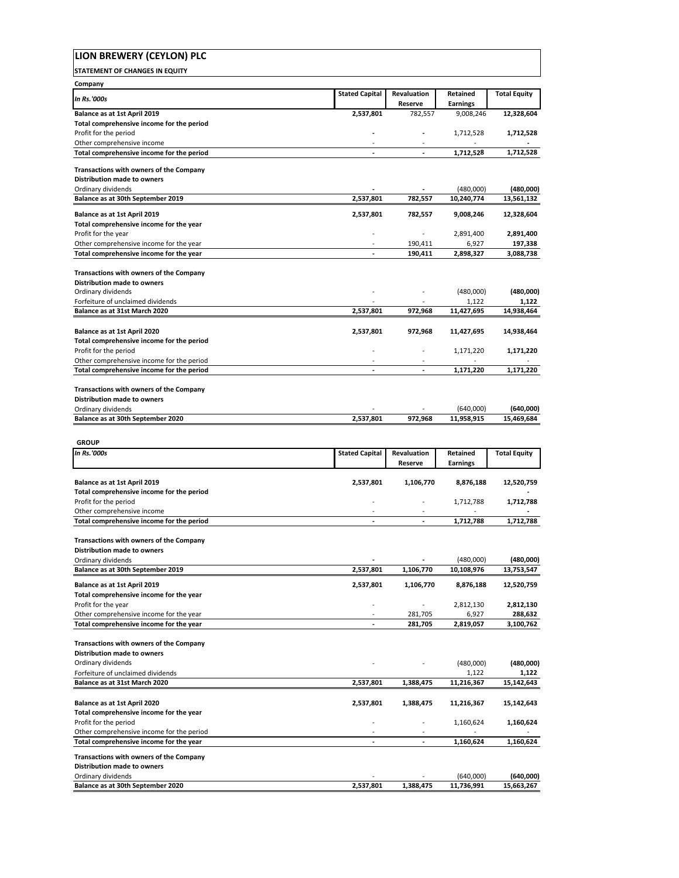| LION BREWERY (CEYLON) PLC                                                          |                       |                          |                             |                         |
|------------------------------------------------------------------------------------|-----------------------|--------------------------|-----------------------------|-------------------------|
| <b>STATEMENT OF CHANGES IN EQUITY</b>                                              |                       |                          |                             |                         |
| Company                                                                            |                       |                          |                             |                         |
| <b>In Rs.'000s</b>                                                                 | <b>Stated Capital</b> | Revaluation<br>Reserve   | Retained<br><b>Earnings</b> | <b>Total Equity</b>     |
| Balance as at 1st April 2019                                                       | 2,537,801             | 782,557                  | 9,008,246                   | 12,328,604              |
| Total comprehensive income for the period<br>Profit for the period                 |                       |                          | 1,712,528                   | 1,712,528               |
| Other comprehensive income                                                         |                       |                          |                             |                         |
| Total comprehensive income for the period                                          |                       |                          | 1,712,528                   | 1,712,528               |
| Transactions with owners of the Company                                            |                       |                          |                             |                         |
| <b>Distribution made to owners</b>                                                 |                       |                          |                             |                         |
| Ordinary dividends<br>Balance as at 30th September 2019                            | 2,537,801             | 782,557                  | (480,000)<br>10,240,774     | (480,000)<br>13,561,132 |
| Balance as at 1st April 2019                                                       | 2,537,801             | 782,557                  | 9,008,246                   | 12,328,604              |
| Total comprehensive income for the year                                            |                       |                          |                             |                         |
| Profit for the year                                                                |                       |                          | 2,891,400                   | 2,891,400               |
| Other comprehensive income for the year<br>Total comprehensive income for the year |                       | 190,411<br>190,411       | 6,927<br>2,898,327          | 197,338<br>3,088,738    |
|                                                                                    |                       |                          |                             |                         |
| <b>Transactions with owners of the Company</b>                                     |                       |                          |                             |                         |
| <b>Distribution made to owners</b><br>Ordinary dividends                           |                       |                          | (480,000)                   | (480,000)               |
| Forfeiture of unclaimed dividends                                                  |                       |                          | 1,122                       | 1,122                   |
| Balance as at 31st March 2020                                                      | 2,537,801             | 972,968                  | 11,427,695                  | 14,938,464              |
| Balance as at 1st April 2020                                                       | 2,537,801             | 972,968                  | 11,427,695                  | 14,938,464              |
| Total comprehensive income for the period                                          |                       |                          |                             |                         |
| Profit for the period<br>Other comprehensive income for the period                 |                       | $\overline{a}$           | 1,171,220                   | 1,171,220               |
| Total comprehensive income for the period                                          | ÷                     | ÷                        | 1,171,220                   | 1,171,220               |
|                                                                                    |                       |                          |                             |                         |
| Transactions with owners of the Company<br>Distribution made to owners             |                       |                          |                             |                         |
| Ordinary dividends                                                                 |                       |                          | (640,000)                   | (640,000)               |
| Balance as at 30th September 2020                                                  | 2,537,801             | 972,968                  | 11,958,915                  | 15,469,684              |
|                                                                                    |                       |                          |                             |                         |
|                                                                                    |                       |                          |                             |                         |
| <b>GROUP</b><br><b>In Rs.'000s</b>                                                 |                       |                          |                             |                         |
|                                                                                    | <b>Stated Capital</b> | Revaluation<br>Reserve   | Retained<br><b>Earnings</b> | <b>Total Equity</b>     |
|                                                                                    |                       |                          |                             |                         |
| Balance as at 1st April 2019<br>Total comprehensive income for the period          | 2,537,801             | 1,106,770                | 8,876,188                   | 12,520,759              |
| Profit for the period                                                              |                       |                          | 1,712,788                   | 1,712,788               |
| Other comprehensive income                                                         | ÷.                    | ÷.                       |                             |                         |
| Total comprehensive income for the period                                          |                       |                          | 1,712,788                   | 1,712,788               |
| Transactions with owners of the Company                                            |                       |                          |                             |                         |
| <b>Distribution made to owners</b><br>Ordinary dividends                           |                       |                          | (480,000)                   | (480,000)               |
| Balance as at 30th September 2019                                                  | 2,537,801             | 1,106,770                | 10,108,976                  | 13,753,547              |
| <b>Balance as at 1st April 2019</b>                                                | 2,537,801             | 1,106,770                | 8,876,188                   | 12,520,759              |
| Total comprehensive income for the year                                            |                       |                          |                             |                         |
| Profit for the year                                                                |                       | $\overline{a}$           | 2,812,130                   | 2,812,130               |
| Other comprehensive income for the year<br>Total comprehensive income for the year | ÷                     | 281,705<br>281,705       | 6,927<br>2,819,057          | 288,632<br>3,100,762    |
|                                                                                    |                       |                          |                             |                         |
| <b>Transactions with owners of the Company</b><br>Distribution made to owners      |                       |                          |                             |                         |
| Ordinary dividends                                                                 |                       |                          | (480,000)                   | (480,000)               |
| Forfeiture of unclaimed dividends<br>Balance as at 31st March 2020                 |                       | 1,388,475                | 1,122<br>11,216,367         | 1,122                   |
|                                                                                    | 2,537,801             |                          |                             | 15,142,643              |
| Balance as at 1st April 2020                                                       | 2,537,801             | 1,388,475                | 11,216,367                  | 15,142,643              |
| Total comprehensive income for the year<br>Profit for the period                   |                       |                          |                             |                         |
| Other comprehensive income for the period                                          |                       |                          | 1,160,624                   | 1,160,624               |
| Total comprehensive income for the year                                            | ٠                     | $\overline{\phantom{a}}$ | 1,160,624                   | 1,160,624               |
| <b>Transactions with owners of the Company</b>                                     |                       |                          |                             |                         |
| Distribution made to owners<br>Ordinary dividends                                  |                       |                          | (640,000)                   | (640,000)               |

٦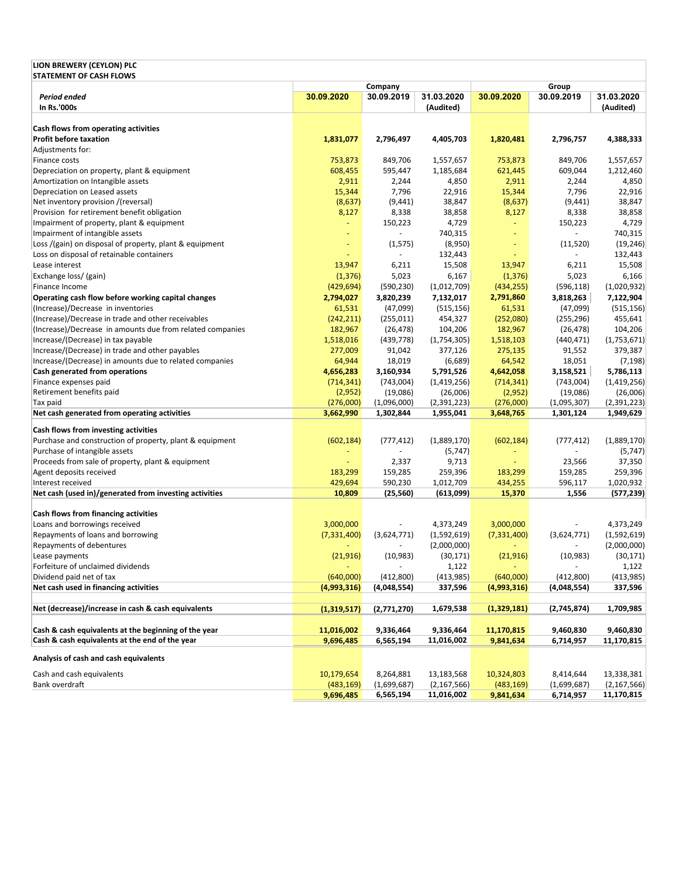| LION BREWERY (CEYLON) PLC                                 |               |                                      |               |                |                          |               |
|-----------------------------------------------------------|---------------|--------------------------------------|---------------|----------------|--------------------------|---------------|
| <b>STATEMENT OF CASH FLOWS</b>                            |               | Company                              |               |                | Group                    |               |
| Period ended                                              | 30.09.2020    | 30.09.2019                           | 31.03.2020    | 30.09.2020     | 30.09.2019               | 31.03.2020    |
| In Rs.'000s                                               |               |                                      | (Audited)     |                |                          | (Audited)     |
|                                                           |               |                                      |               |                |                          |               |
| Cash flows from operating activities                      | 1,831,077     |                                      |               |                | 2,796,757                |               |
| <b>Profit before taxation</b>                             |               | 2,796,497                            | 4,405,703     | 1,820,481      |                          | 4,388,333     |
| Adjustments for:                                          |               |                                      |               |                |                          |               |
| Finance costs                                             | 753,873       | 849,706                              | 1,557,657     | 753,873        | 849,706                  | 1,557,657     |
| Depreciation on property, plant & equipment               | 608,455       | 595,447                              | 1,185,684     | 621,445        | 609,044                  | 1,212,460     |
| Amortization on Intangible assets                         | 2,911         | 2,244                                | 4,850         | 2,911          | 2,244                    | 4,850         |
| Depreciation on Leased assets                             | 15,344        | 7,796                                | 22,916        | 15,344         | 7,796                    | 22,916        |
| Net inventory provision /(reversal)                       | (8,637)       | (9, 441)                             | 38,847        | (8,637)        | (9, 441)                 | 38,847        |
| Provision for retirement benefit obligation               | 8,127         | 8,338                                | 38,858        | 8,127          | 8,338                    | 38,858        |
| Impairment of property, plant & equipment                 | ÷.            | 150,223                              | 4,729         | Ξ              | 150,223                  | 4,729         |
| Impairment of intangible assets                           | ÷             | $\blacksquare$                       | 740,315       | $\blacksquare$ | $\overline{\phantom{a}}$ | 740,315       |
| Loss /(gain) on disposal of property, plant & equipment   | Ξ             | (1, 575)<br>$\overline{\phantom{a}}$ | (8,950)       | $\blacksquare$ | (11,520)                 | (19, 246)     |
| Loss on disposal of retainable containers                 | ÷             |                                      | 132,443       | $\blacksquare$ |                          | 132,443       |
| Lease interest                                            | 13,947        | 6,211                                | 15,508        | 13,947         | 6,211                    | 15,508        |
| Exchange loss/ (gain)                                     | (1, 376)      | 5,023                                | 6,167         | (1, 376)       | 5,023                    | 6,166         |
| Finance Income                                            | (429, 694)    | (590, 230)                           | (1,012,709)   | (434, 255)     | (596, 118)               | (1,020,932)   |
| Operating cash flow before working capital changes        | 2,794,027     | 3,820,239                            | 7,132,017     | 2,791,860      | 3,818,263                | 7,122,904     |
| (Increase)/Decrease in inventories                        | 61,531        | (47,099)                             | (515, 156)    | 61,531         | (47,099)                 | (515, 156)    |
| (Increase)/Decrease in trade and other receivables        | (242, 211)    | (255, 011)                           | 454,327       | (252,080)      | (255, 296)               | 455,641       |
| (Increase)/Decrease in amounts due from related companies | 182,967       | (26, 478)                            | 104,206       | 182,967        | (26, 478)                | 104,206       |
| Increase/(Decrease) in tax payable                        | 1,518,016     | (439, 778)                           | (1,754,305)   | 1,518,103      | (440, 471)               | (1,753,671)   |
| Increase/(Decrease) in trade and other payables           | 277,009       | 91,042                               | 377,126       | 275,135        | 91,552                   | 379,387       |
| Increase/(Decrease) in amounts due to related companies   | 64,944        | 18,019                               | (6,689)       | 64,542         | 18,051                   | (7, 198)      |
| Cash generated from operations                            | 4,656,283     | 3,160,934                            | 5,791,526     | 4,642,058      | 3,158,521                | 5,786,113     |
| Finance expenses paid                                     | (714, 341)    | (743,004)                            | (1,419,256)   | (714, 341)     | (743,004)                | (1,419,256)   |
| Retirement benefits paid                                  | (2,952)       | (19,086)                             | (26,006)      | (2,952)        | (19,086)                 | (26,006)      |
| Tax paid                                                  | (276,000)     | (1,096,000)                          | (2,391,223)   | (276,000)      | (1,095,307)              | (2,391,223)   |
| Net cash generated from operating activities              | 3,662,990     | 1,302,844                            | 1,955,041     | 3,648,765      | 1,301,124                | 1,949,629     |
| Cash flows from investing activities                      |               |                                      |               |                |                          |               |
| Purchase and construction of property, plant & equipment  | (602, 184)    | (777, 412)                           | (1,889,170)   | (602, 184)     | (777, 412)               | (1,889,170)   |
| Purchase of intangible assets                             |               |                                      | (5, 747)      |                |                          | (5, 747)      |
| Proceeds from sale of property, plant & equipment         |               | 2,337                                | 9,713         |                | 23,566                   | 37,350        |
| Agent deposits received                                   | 183,299       | 159,285                              | 259,396       | 183,299        | 159,285                  | 259,396       |
| Interest received                                         | 429,694       | 590,230                              | 1,012,709     | 434,255        | 596,117                  | 1,020,932     |
| Net cash (used in)/generated from investing activities    | 10,809        | (25, 560)                            | (613,099)     | 15,370         | 1,556                    | (577, 239)    |
|                                                           |               |                                      |               |                |                          |               |
| Cash flows from financing activities                      |               |                                      |               |                |                          |               |
| Loans and borrowings received                             | 3,000,000     |                                      | 4,373,249     | 3,000,000      |                          | 4,373,249     |
| Repayments of loans and borrowing                         | (7, 331, 400) | (3,624,771)                          | (1,592,619)   | (7, 331, 400)  | (3,624,771)              | (1,592,619)   |
| Repayments of debentures                                  |               |                                      | (2,000,000)   | ٠              | ٠                        | (2,000,000)   |
| Lease payments                                            | (21, 916)     | (10, 983)                            | (30, 171)     | (21, 916)      | (10, 983)                | (30, 171)     |
| Forfeiture of unclaimed dividends                         |               |                                      | 1,122         |                |                          | 1,122         |
| Dividend paid net of tax                                  | (640,000)     | (412,800)                            | (413,985)     | (640,000)      | (412,800)                | (413, 985)    |
| Net cash used in financing activities                     | (4,993,316)   | (4,048,554)                          | 337,596       | (4,993,316)    | (4,048,554)              | 337,596       |
|                                                           |               |                                      |               |                |                          |               |
| Net (decrease)/increase in cash & cash equivalents        | (1,319,517)   | (2,771,270)                          | 1,679,538     | (1,329,181)    | (2,745,874)              | 1,709,985     |
| Cash & cash equivalents at the beginning of the year      | 11,016,002    | 9,336,464                            | 9,336,464     | 11,170,815     | 9,460,830                | 9,460,830     |
| Cash & cash equivalents at the end of the year            | 9,696,485     | 6,565,194                            | 11,016,002    | 9,841,634      | 6,714,957                | 11,170,815    |
| Analysis of cash and cash equivalents                     |               |                                      |               |                |                          |               |
| Cash and cash equivalents                                 | 10,179,654    | 8,264,881                            | 13,183,568    | 10,324,803     | 8,414,644                | 13,338,381    |
| Bank overdraft                                            | (483, 169)    | (1,699,687)                          | (2, 167, 566) | (483, 169)     | (1,699,687)              | (2, 167, 566) |
|                                                           | 9,696,485     | 6,565,194                            | 11,016,002    | 9,841,634      | 6,714,957                | 11,170,815    |
|                                                           |               |                                      |               |                |                          |               |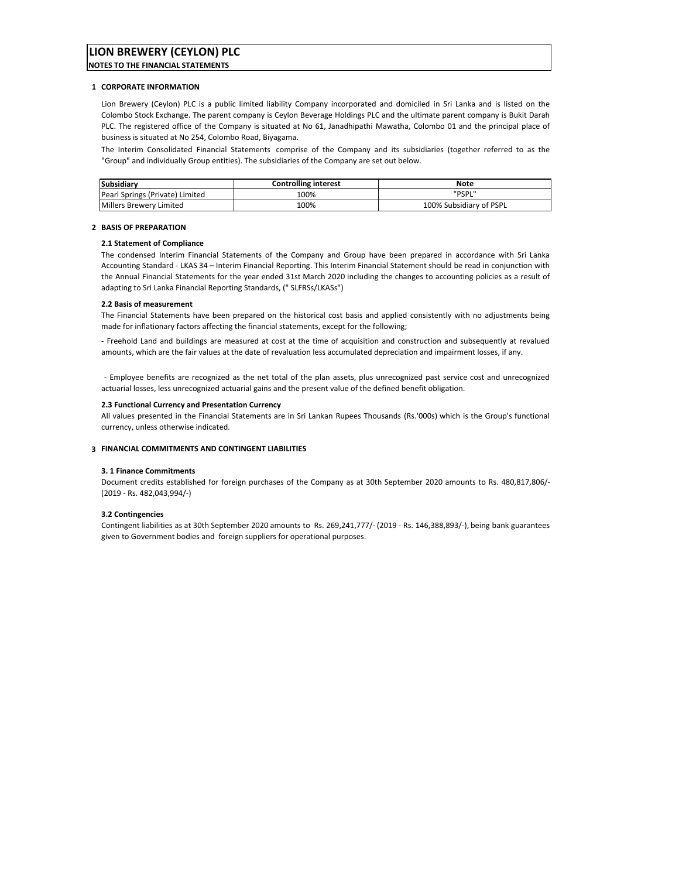# **LION BREWERY (CEYLON) PLC**

**NOTES TO THE FINANCIAL STATEMENTS**

#### **1 CORPORATE INFORMATION**

Lion Brewery (Ceylon) PLC is a public limited liability Company incorporated and domiciled in Sri Lanka and is listed on the Colombo Stock Exchange. The parent company is Ceylon Beverage Holdings PLC and the ultimate parent company is Bukit Darah PLC. The registered office of the Company is situated at No 61, Janadhipathi Mawatha, Colombo 01 and the principal place of business is situated at No 254, Colombo Road, Biyagama.

The Interim Consolidated Financial Statements comprise of the Company and its subsidiaries (together referred to as the "Group" and individually Group entities). The subsidiaries of the Company are set out below.

| <b>Subsidiary</b>               | <b>Controlling interest</b> | Note                    |
|---------------------------------|-----------------------------|-------------------------|
| Pearl Springs (Private) Limited | 100%                        | "PSPL"                  |
| Millers Brewery Limited         | 100%                        | 100% Subsidiary of PSPL |

#### **2 BASIS OF PREPARATION**

### **2.1 Statement of Compliance**

The condensed Interim Financial Statements of the Company and Group have been prepared in accordance with Sri Lanka Accounting Standard ‐ LKAS 34 – Interim Financial Reporting. This Interim Financial Statement should be read in conjunction with the Annual Financial Statements for the year ended 31st March 2020 including the changes to accounting policies as a result of adapting to Sri Lanka Financial Reporting Standards, (" SLFRSs/LKASs")

#### **2.2 Basis of measurement**

The Financial Statements have been prepared on the historical cost basis and applied consistently with no adjustments being made for inflationary factors affecting the financial statements, except for the following;

‐ Freehold Land and buildings are measured at cost at the time of acquisition and construction and subsequently at revalued amounts, which are the fair values at the date of revaluation less accumulated depreciation and impairment losses, if any.

‐ Employee benefits are recognized as the net total of the plan assets, plus unrecognized past service cost and unrecognized actuarial losses, less unrecognized actuarial gains and the present value of the defined benefit obligation.

#### **2.3 Functional Currency and Presentation Currency**

All values presented in the Financial Statements are in Sri Lankan Rupees Thousands (Rs.'000s) which is the Group's functional currency, unless otherwise indicated.

#### **3 FINANCIAL COMMITMENTS AND CONTINGENT LIABILITIES**

#### **3. 1 Finance Commitments**

Document credits established for foreign purchases of the Company as at 30th September 2020 amounts to Rs. 480,817,806/‐ (2019 ‐ Rs. 482,043,994/‐)

#### **3.2 Contingencies**

Contingent liabilities as at 30th September 2020 amounts to Rs. 269,241,777/‐ (2019 ‐ Rs. 146,388,893/‐), being bank guarantees given to Government bodies and foreign suppliers for operational purposes.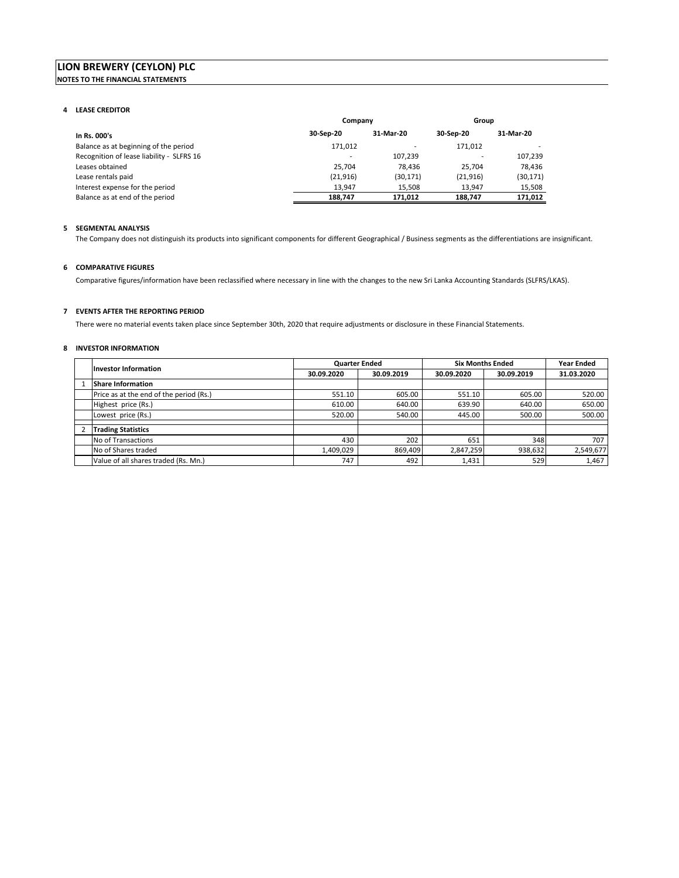# **LION BREWERY (CEYLON) PLC NOTES TO THE FINANCIAL STATEMENTS**

#### **4 LEASE CREDITOR**

|                                           | Company   |           | Group     |           |
|-------------------------------------------|-----------|-----------|-----------|-----------|
| In Rs. 000's                              | 30-Sep-20 | 31-Mar-20 | 30-Sep-20 | 31-Mar-20 |
| Balance as at beginning of the period     | 171.012   |           | 171.012   |           |
| Recognition of lease liability - SLFRS 16 |           | 107.239   |           | 107,239   |
| Leases obtained                           | 25.704    | 78.436    | 25.704    | 78.436    |
| Lease rentals paid                        | (21, 916) | (30, 171) | (21, 916) | (30,171)  |
| Interest expense for the period           | 13.947    | 15.508    | 13.947    | 15,508    |
| Balance as at end of the period           | 188,747   | 171.012   | 188,747   | 171,012   |

### **5 SEGMENTAL ANALYSIS**

The Company does not distinguish its products into significant components for different Geographical / Business segments as the differentiations are insignificant.

# **6 COMPARATIVE FIGURES**

Comparative figures/information have been reclassified where necessary in line with the changes to the new Sri Lanka Accounting Standards (SLFRS/LKAS).

### **7 EVENTS AFTER THE REPORTING PERIOD**

There were no material events taken place since September 30th, 2020 that require adjustments or disclosure in these Financial Statements.

### **8 INVESTOR INFORMATION**

| Investor Information                    | <b>Quarter Ended</b> |            | <b>Six Months Ended</b> | <b>Year Ended</b> |            |
|-----------------------------------------|----------------------|------------|-------------------------|-------------------|------------|
|                                         | 30.09.2020           | 30.09.2019 | 30.09.2020              | 30.09.2019        | 31.03.2020 |
| <b>Share Information</b>                |                      |            |                         |                   |            |
| Price as at the end of the period (Rs.) | 551.10               | 605.00     | 551.10                  | 605.00            | 520.00     |
| Highest price (Rs.)                     | 610.00               | 640.00     | 639.90                  | 640.00            | 650.00     |
| Lowest price (Rs.)                      | 520.00               | 540.00     | 445.00                  | 500.00            | 500.00     |
| <b>Trading Statistics</b>               |                      |            |                         |                   |            |
|                                         |                      |            |                         |                   |            |
| No of Transactions                      | 430                  | 202        | 651                     | 348               | 707        |
| No of Shares traded                     | 1,409,029            | 869,409    | 2,847,259               | 938,632           | 2,549,677  |
| Value of all shares traded (Rs. Mn.)    | 747                  | 492        | 1,431                   | 529               | 1,467      |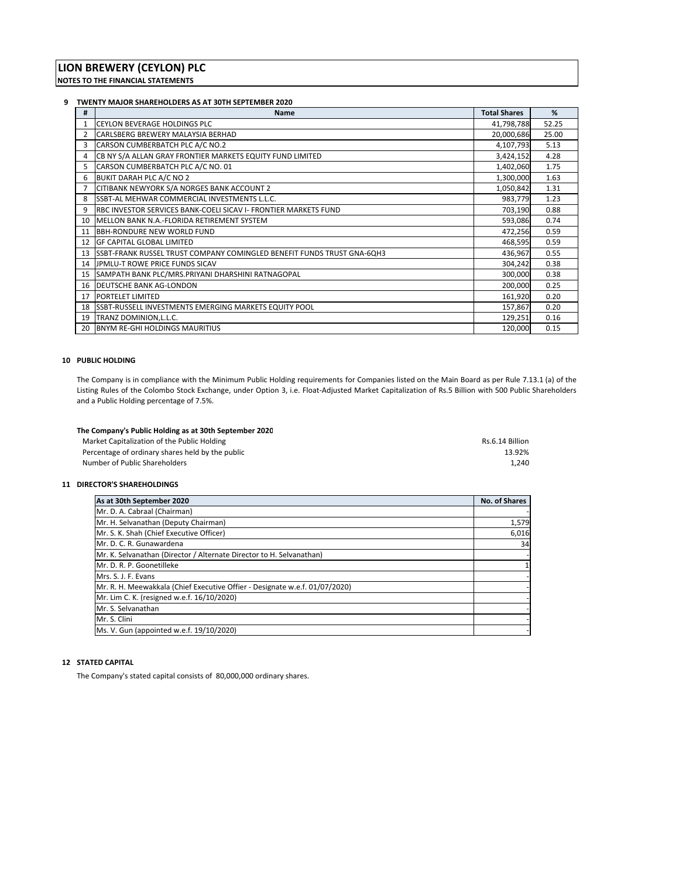#### **9 TWENTY MAJOR SHAREHOLDERS AS AT 30TH SEPTEMBER 2020**

| #              | <b>Name</b>                                                             | <b>Total Shares</b> | %     |
|----------------|-------------------------------------------------------------------------|---------------------|-------|
|                | <b>CEYLON BEVERAGE HOLDINGS PLC</b>                                     | 41,798,788          | 52.25 |
| $\overline{2}$ | CARLSBERG BREWERY MALAYSIA BERHAD                                       | 20,000,686          | 25.00 |
| 3              | CARSON CUMBERBATCH PLC A/C NO.2                                         | 4,107,793           | 5.13  |
| 4              | CB NY S/A ALLAN GRAY FRONTIER MARKETS EQUITY FUND LIMITED               | 3,424,152           | 4.28  |
| 5              | CARSON CUMBERBATCH PLC A/C NO. 01                                       | 1,402,060           | 1.75  |
| 6              | BUKIT DARAH PLC A/C NO 2                                                | 1,300,000           | 1.63  |
|                | CITIBANK NEWYORK S/A NORGES BANK ACCOUNT 2                              | 1,050,842           | 1.31  |
| 8              | SSBT-AL MEHWAR COMMERCIAL INVESTMENTS L.L.C.                            | 983,779             | 1.23  |
| 9              | RBC INVESTOR SERVICES BANK-COELI SICAV I- FRONTIER MARKETS FUND         | 703,190             | 0.88  |
| 10             | IMELLON BANK N.A.-FLORIDA RETIREMENT SYSTEM                             | 593,086             | 0.74  |
| 11             | <b>BBH-RONDURE NEW WORLD FUND</b>                                       | 472,256             | 0.59  |
| 12             | <b>GF CAPITAL GLOBAL LIMITED</b>                                        | 468,595             | 0.59  |
| 13             | ISSBT-FRANK RUSSEL TRUST COMPANY COMINGLED BENEFIT FUNDS TRUST GNA-6QH3 | 436,967             | 0.55  |
| 14             | <b>IJPMLU-T ROWE PRICE FUNDS SICAV</b>                                  | 304,242             | 0.38  |
| 15             | SAMPATH BANK PLC/MRS.PRIYANI DHARSHINI RATNAGOPAL                       | 300,000             | 0.38  |
|                | 16 DEUTSCHE BANK AG-LONDON                                              | 200,000             | 0.25  |
| 17             | <b>PORTELET LIMITED</b>                                                 | 161,920             | 0.20  |
|                | 18 SSBT-RUSSELL INVESTMENTS EMERGING MARKETS EQUITY POOL                | 157,867             | 0.20  |
| 19             | TRANZ DOMINION, L.L.C.                                                  | 129,251             | 0.16  |
| 20             | <b>BNYM RE-GHI HOLDINGS MAURITIUS</b>                                   | 120,000             | 0.15  |

### **10 PUBLIC HOLDING**

The Company is in compliance with the Minimum Public Holding requirements for Companies listed on the Main Board as per Rule 7.13.1 (a) of the Listing Rules of the Colombo Stock Exchange, under Option 3, i.e. Float‐Adjusted Market Capitalization of Rs.5 Billion with 500 Public Shareholders and a Public Holding percentage of 7.5%.

| The Company's Public Holding as at 30th September 2020 |                 |
|--------------------------------------------------------|-----------------|
| Market Capitalization of the Public Holding            | Rs.6.14 Billion |
| Percentage of ordinary shares held by the public       | 13.92%          |
| Number of Public Shareholders                          | 1.240           |

### **11 DIRECTOR'S SHAREHOLDINGS**

| As at 30th September 2020                                                   | No. of Shares |
|-----------------------------------------------------------------------------|---------------|
| Mr. D. A. Cabraal (Chairman)                                                |               |
| Mr. H. Selvanathan (Deputy Chairman)                                        | 1,579         |
| Mr. S. K. Shah (Chief Executive Officer)                                    | 6,016         |
| Mr. D. C. R. Gunawardena                                                    | 34            |
| Mr. K. Selvanathan (Director / Alternate Director to H. Selvanathan)        |               |
| Mr. D. R. P. Goonetilleke                                                   |               |
| Mrs. S. J. F. Evans                                                         |               |
| Mr. R. H. Meewakkala (Chief Executive Offier - Designate w.e.f. 01/07/2020) |               |
| Mr. Lim C. K. (resigned w.e.f. 16/10/2020)                                  |               |
| Mr. S. Selvanathan                                                          |               |
| Mr. S. Clini                                                                |               |
| Ms. V. Gun (appointed w.e.f. 19/10/2020)                                    |               |

# **12 STATED CAPITAL**

The Company's stated capital consists of 80,000,000 ordinary shares.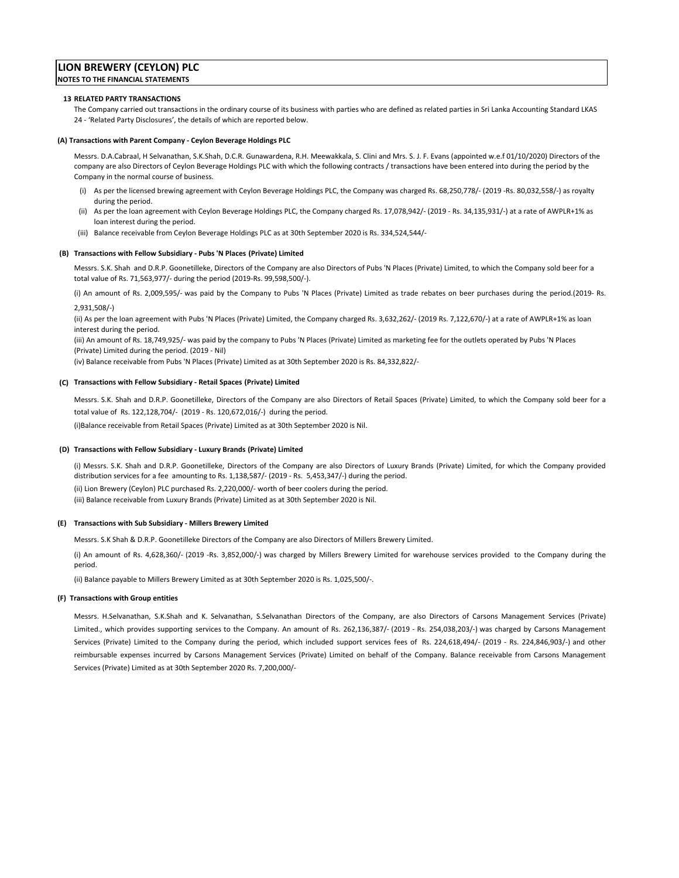# **LION BREWERY (CEYLON) PLC NOTES TO THE FINANCIAL STATEMENTS**

#### **13 RELATED PARTY TRANSACTIONS**

The Company carried out transactions in the ordinary course of its business with parties who are defined as related parties in Sri Lanka Accounting Standard LKAS 24 ‐ 'Related Party Disclosures', the details of which are reported below.

#### **(A) Transactions with Parent Company ‐ Ceylon Beverage Holdings PLC**

Messrs. D.A.Cabraal, H Selvanathan, S.K.Shah, D.C.R. Gunawardena, R.H. Meewakkala, S. Clini and Mrs. S. J. F. Evans (appointed w.e.f 01/10/2020) Directors of the company are also Directors of Ceylon Beverage Holdings PLC with which the following contracts / transactions have been entered into during the period by the Company in the normal course of business.

- (i) As per the licensed brewing agreement with Ceylon Beverage Holdings PLC, the Company was charged Rs. 68,250,778/‐ (2019 ‐Rs. 80,032,558/‐) as royalty during the period.
- (ii) As per the loan agreement with Ceylon Beverage Holdings PLC, the Company charged Rs. 17,078,942/‐ (2019 ‐ Rs. 34,135,931/‐) at a rate of AWPLR+1% as loan interest during the period.
- (iii) Balance receivable from Ceylon Beverage Holdings PLC as at 30th September 2020 is Rs. 334,524,544/‐

#### **(B) Transactions with Fellow Subsidiary ‐ Pubs 'N Places (Private) Limited**

Messrs. S.K. Shah and D.R.P. Goonetilleke, Directors of the Company are also Directors of Pubs 'N Places (Private) Limited, to which the Company sold beer for a total value of Rs. 71,563,977/‐ during the period (2019‐Rs. 99,598,500/‐).

(i) An amount of Rs. 2,009,595/‐ was paid by the Company to Pubs 'N Places (Private) Limited as trade rebates on beer purchases during the period.(2019‐ Rs. 2,931,508/‐)

(ii) As per the loan agreement with Pubs 'N Places (Private) Limited, the Company charged Rs. 3,632,262/‐ (2019 Rs. 7,122,670/‐) at a rate of AWPLR+1% as loan interest during the period.

(iii) An amount of Rs. 18,749,925/‐ was paid by the company to Pubs 'N Places (Private) Limited as marketing fee for the outlets operated by Pubs 'N Places (Private) Limited during the period. (2019 ‐ Nil)

(iv) Balance receivable from Pubs 'N Places (Private) Limited as at 30th September 2020 is Rs. 84,332,822/‐

#### **(C) Transactions with Fellow Subsidiary ‐ Retail Spaces (Private) Limited**

Messrs. S.K. Shah and D.R.P. Goonetilleke, Directors of the Company are also Directors of Retail Spaces (Private) Limited, to which the Company sold beer for a total value of Rs. 122,128,704/‐ (2019 ‐ Rs. 120,672,016/‐) during the period.

(i)Balance receivable from Retail Spaces (Private) Limited as at 30th September 2020 is Nil.

#### **(D) Transactions with Fellow Subsidiary ‐ Luxury Brands (Private) Limited**

(ii) Lion Brewery (Ceylon) PLC purchased Rs. 2,220,000/‐ worth of beer coolers during the period. (i) Messrs. S.K. Shah and D.R.P. Goonetilleke, Directors of the Company are also Directors of Luxury Brands (Private) Limited, for which the Company provided distribution services for a fee amounting to Rs. 1,138,587/‐ (2019 ‐ Rs. 5,453,347/‐) during the period. (iii) Balance receivable from Luxury Brands (Private) Limited as at 30th September 2020 is Nil.

#### **(E) Transactions with Sub Subsidiary ‐ Millers Brewery Limited**

Messrs. S.K Shah & D.R.P. Goonetilleke Directors of the Company are also Directors of Millers Brewery Limited.

(i) An amount of Rs. 4,628,360/‐ (2019 ‐Rs. 3,852,000/‐) was charged by Millers Brewery Limited for warehouse services provided to the Company during the period.

(ii) Balance payable to Millers Brewery Limited as at 30th September 2020 is Rs. 1,025,500/‐.

#### **(F) Transactions with Group entities**

Messrs. H.Selvanathan, S.K.Shah and K. Selvanathan, S.Selvanathan Directors of the Company, are also Directors of Carsons Management Services (Private) Limited., which provides supporting services to the Company. An amount of Rs. 262,136,387/‐ (2019 ‐ Rs. 254,038,203/‐) was charged by Carsons Management Services (Private) Limited to the Company during the period, which included support services fees of Rs. 224,618,494/- (2019 - Rs. 224,846,903/-) and other reimbursable expenses incurred by Carsons Management Services (Private) Limited on behalf of the Company. Balance receivable from Carsons Management Services (Private) Limited as at 30th September 2020 Rs. 7,200,000/‐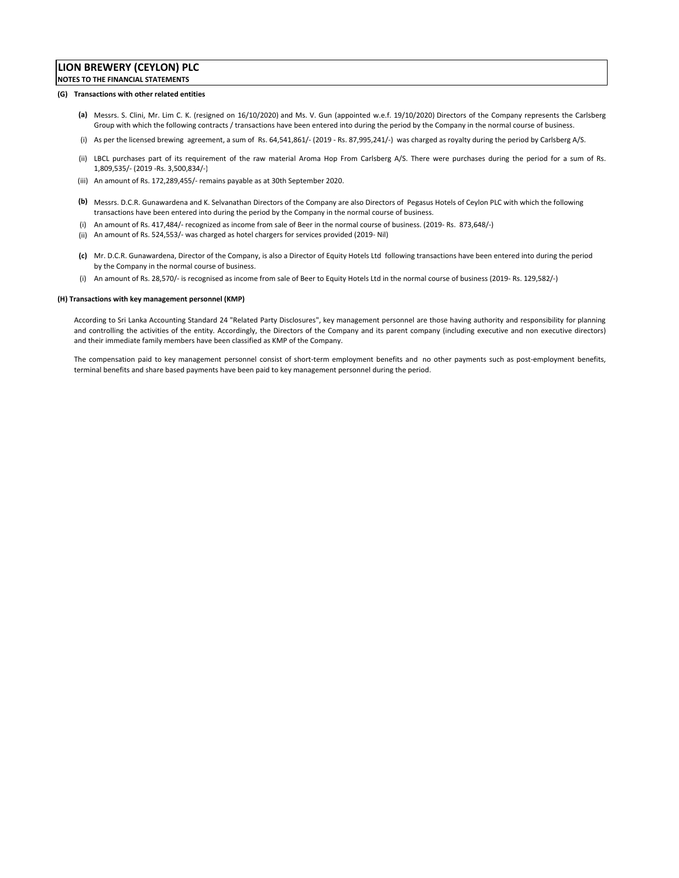# **LION BREWERY (CEYLON) PLC NOTES TO THE FINANCIAL STATEMENTS**

#### **(G) Transactions with other related entities**

- **(a)** Messrs. S. Clini, Mr. Lim C. K. (resigned on 16/10/2020) and Ms. V. Gun (appointed w.e.f. 19/10/2020) Directors of the Company represents the Carlsberg Group with which the following contracts / transactions have been entered into during the period by the Company in the normal course of business.
- (i) As per the licensed brewing agreement, a sum of Rs. 64,541,861/‐ (2019 ‐ Rs. 87,995,241/‐) was charged as royalty during the period by Carlsberg A/S.
- (ii) LBCL purchases part of its requirement of the raw material Aroma Hop From Carlsberg A/S. There were purchases during the period for a sum of Rs. 1,809,535/‐ (2019 ‐Rs. 3,500,834/‐)
- (iii) An amount of Rs. 172,289,455/‐ remains payable as at 30th September 2020.
- **(b)** Messrs. D.C.R. Gunawardena and K. Selvanathan Directors of the Company are also Directors of Pegasus Hotels of Ceylon PLC with which the following transactions have been entered into during the period by the Company in the normal course of business.
- (i) An amount of Rs. 417,484/‐ recognized as income from sale of Beer in the normal course of business. (2019‐ Rs. 873,648/‐)
- (ii) An amount of Rs. 524,553/‐ was charged as hotel chargers for services provided (2019‐ Nil)
- **(c)** Mr. D.C.R. Gunawardena, Director of the Company, is also a Director of Equity Hotels Ltd following transactions have been entered into during the period by the Company in the normal course of business.
- (i) An amount of Rs. 28,570/‐ is recognised as income from sale of Beer to Equity Hotels Ltd in the normal course of business (2019‐ Rs. 129,582/‐)

#### **(H) Transactions with key management personnel (KMP)**

According to Sri Lanka Accounting Standard 24 "Related Party Disclosures", key management personnel are those having authority and responsibility for planning and controlling the activities of the entity. Accordingly, the Directors of the Company and its parent company (including executive and non executive directors) and their immediate family members have been classified as KMP of the Company.

The compensation paid to key management personnel consist of short-term employment benefits and no other payments such as post-employment benefits, terminal benefits and share based payments have been paid to key management personnel during the period.